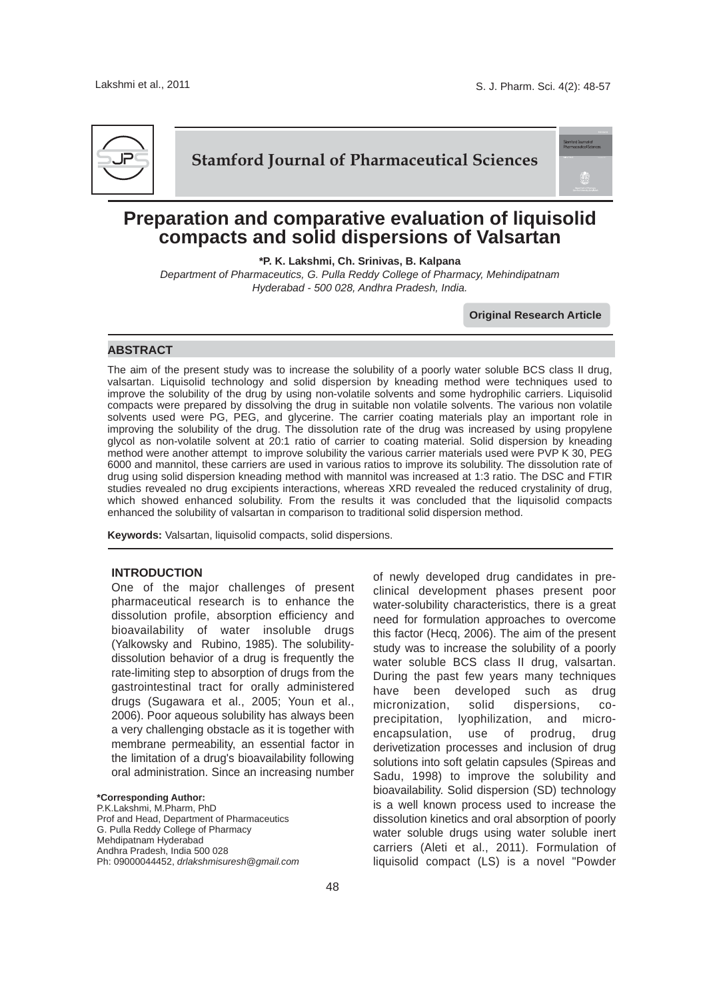

## **Stamford Journal of Pharmaceutical Sciences**

# **Preparation and comparative evaluation of liquisolid compacts and solid dispersions of Valsartan**

**\*P. K. Lakshmi, Ch. Srinivas, B. Kalpana**

*Department of Pharmaceutics, G. Pulla Reddy College of Pharmacy, Mehindipatnam Hyderabad - 500 028, Andhra Pradesh, India.*

**Original Research Article**

#### **ABSTRACT**

The aim of the present study was to increase the solubility of a poorly water soluble BCS class II drug, valsartan. Liquisolid technology and solid dispersion by kneading method were techniques used to improve the solubility of the drug by using non-volatile solvents and some hydrophilic carriers. Liquisolid compacts were prepared by dissolving the drug in suitable non volatile solvents. The various non volatile solvents used were PG, PEG, and glycerine. The carrier coating materials play an important role in improving the solubility of the drug. The dissolution rate of the drug was increased by using propylene glycol as non-volatile solvent at 20:1 ratio of carrier to coating material. Solid dispersion by kneading method were another attempt to improve solubility the various carrier materials used were PVP K 30, PEG 6000 and mannitol, these carriers are used in various ratios to improve its solubility. The dissolution rate of drug using solid dispersion kneading method with mannitol was increased at 1:3 ratio. The DSC and FTIR studies revealed no drug excipients interactions, whereas XRD revealed the reduced crystalinity of drug, which showed enhanced solubility. From the results it was concluded that the liquisolid compacts enhanced the solubility of valsartan in comparison to traditional solid dispersion method.

**Keywords:** Valsartan, liquisolid compacts, solid dispersions.

#### **INTRODUCTION**

One of the major challenges of present pharmaceutical research is to enhance the dissolution profile, absorption efficiency and bioavailability of water insoluble drugs (Yalkowsky and Rubino, 1985). The solubilitydissolution behavior of a drug is frequently the rate-limiting step to absorption of drugs from the gastrointestinal tract for orally administered drugs (Sugawara et al., 2005; Youn et al., 2006). Poor aqueous solubility has always been a very challenging obstacle as it is together with membrane permeability, an essential factor in the limitation of a drug's bioavailability following oral administration. Since an increasing number

**\*Corresponding Author:** P.K.Lakshmi, M.Pharm, PhD Prof and Head, Department of Pharmaceutics G. Pulla Reddy College of Pharmacy Mehdipatnam Hyderabad Andhra Pradesh, India 500 028 Ph: 09000044452, *drlakshmisuresh@gmail.com* of newly developed drug candidates in preclinical development phases present poor water-solubility characteristics, there is a great need for formulation approaches to overcome this factor (Hecq, 2006). The aim of the present study was to increase the solubility of a poorly water soluble BCS class II drug, valsartan. During the past few years many techniques have been developed such as drug micronization, solid dispersions, coprecipitation, lyophilization, and microencapsulation, use of prodrug, drug derivetization processes and inclusion of drug solutions into soft gelatin capsules (Spireas and Sadu, 1998) to improve the solubility and bioavailability. Solid dispersion (SD) technology is a well known process used to increase the dissolution kinetics and oral absorption of poorly water soluble drugs using water soluble inert carriers (Aleti et al., 2011). Formulation of liquisolid compact (LS) is a novel "Powder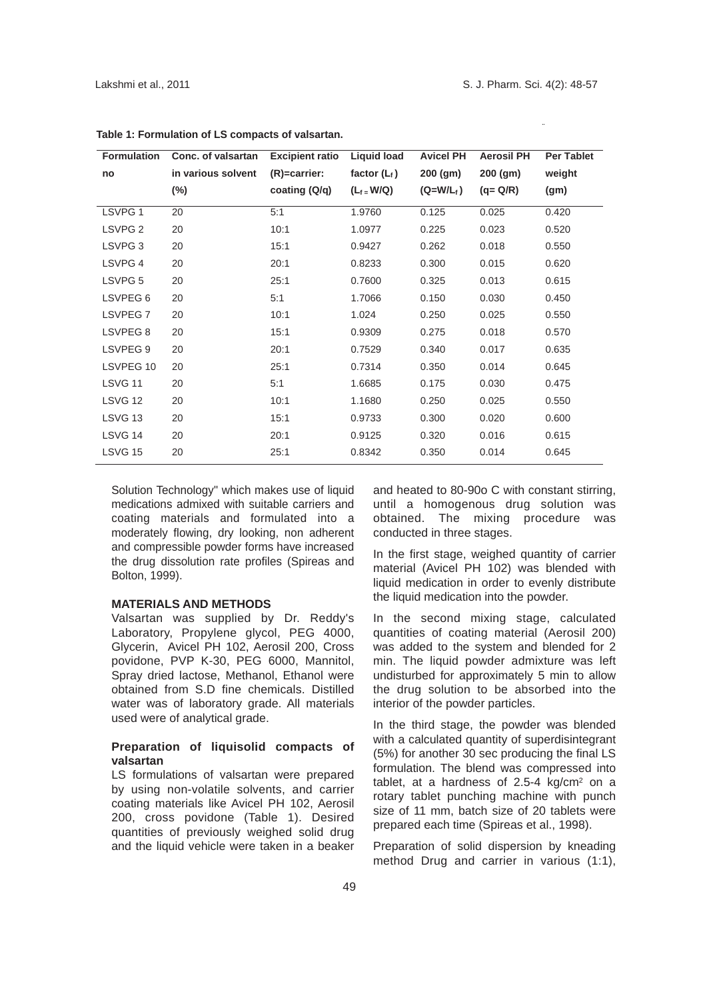| <b>Formulation</b> | Conc. of valsartan | <b>Excipient ratio</b> | <b>Liquid load</b> | <b>Avicel PH</b> | <b>Aerosil PH</b> | <b>Per Tablet</b> |
|--------------------|--------------------|------------------------|--------------------|------------------|-------------------|-------------------|
| no                 | in various solvent | $(R) =$ carrier:       | factor $(L_f)$     | 200 (gm)         | $200$ (gm)        | weight            |
|                    | $(\%)$             | coating (Q/q)          | $(L_f = W/Q)$      | $(Q= W/L_f)$     | $(q = Q/R)$       | (gm)              |
| LSVPG <sub>1</sub> | 20                 | 5:1                    | 1.9760             | 0.125            | 0.025             | 0.420             |
| LSVPG <sub>2</sub> | 20                 | 10:1                   | 1.0977             | 0.225            | 0.023             | 0.520             |
| LSVPG <sub>3</sub> | 20                 | 15:1                   | 0.9427             | 0.262            | 0.018             | 0.550             |
| LSVPG 4            | 20                 | 20:1                   | 0.8233             | 0.300            | 0.015             | 0.620             |
| LSVPG <sub>5</sub> | 20                 | 25:1                   | 0.7600             | 0.325            | 0.013             | 0.615             |
| LSVPEG 6           | 20                 | 5:1                    | 1.7066             | 0.150            | 0.030             | 0.450             |
| LSVPEG7            | 20                 | 10:1                   | 1.024              | 0.250            | 0.025             | 0.550             |
| LSVPEG 8           | 20                 | 15:1                   | 0.9309             | 0.275            | 0.018             | 0.570             |
| LSVPEG 9           | 20                 | 20:1                   | 0.7529             | 0.340            | 0.017             | 0.635             |
| LSVPEG 10          | 20                 | 25:1                   | 0.7314             | 0.350            | 0.014             | 0.645             |
| <b>LSVG 11</b>     | 20                 | 5:1                    | 1.6685             | 0.175            | 0.030             | 0.475             |
| LSVG 12            | 20                 | 10:1                   | 1.1680             | 0.250            | 0.025             | 0.550             |
| LSVG <sub>13</sub> | 20                 | 15:1                   | 0.9733             | 0.300            | 0.020             | 0.600             |
| LSVG 14            | 20                 | 20:1                   | 0.9125             | 0.320            | 0.016             | 0.615             |
| <b>LSVG 15</b>     | 20                 | 25:1                   | 0.8342             | 0.350            | 0.014             | 0.645             |

**Table 1: Formulation of LS compacts of valsartan.**

Solution Technology" which makes use of liquid medications admixed with suitable carriers and coating materials and formulated into a moderately flowing, dry looking, non adherent and compressible powder forms have increased the drug dissolution rate profiles (Spireas and Bolton, 1999).

## **MATERIALS AND METHODS**

Valsartan was supplied by Dr. Reddy's Laboratory, Propylene glycol, PEG 4000, Glycerin, Avicel PH 102, Aerosil 200, Cross povidone, PVP K-30, PEG 6000, Mannitol, Spray dried lactose, Methanol, Ethanol were obtained from S.D fine chemicals. Distilled water was of laboratory grade. All materials used were of analytical grade.

#### **Preparation of liquisolid compacts of valsartan**

LS formulations of valsartan were prepared by using non-volatile solvents, and carrier coating materials like Avicel PH 102, Aerosil 200, cross povidone (Table 1). Desired quantities of previously weighed solid drug and the liquid vehicle were taken in a beaker and heated to 80-90o C with constant stirring, until a homogenous drug solution was obtained. The mixing procedure was conducted in three stages.

In the first stage, weighed quantity of carrier material (Avicel PH 102) was blended with liquid medication in order to evenly distribute the liquid medication into the powder.

In the second mixing stage, calculated quantities of coating material (Aerosil 200) was added to the system and blended for 2 min. The liquid powder admixture was left undisturbed for approximately 5 min to allow the drug solution to be absorbed into the interior of the powder particles.

In the third stage, the powder was blended with a calculated quantity of superdisintegrant (5%) for another 30 sec producing the final LS formulation. The blend was compressed into tablet, at a hardness of  $2.5-4$  kg/cm<sup>2</sup> on a rotary tablet punching machine with punch size of 11 mm, batch size of 20 tablets were prepared each time (Spireas et al., 1998).

Preparation of solid dispersion by kneading method Drug and carrier in various (1:1),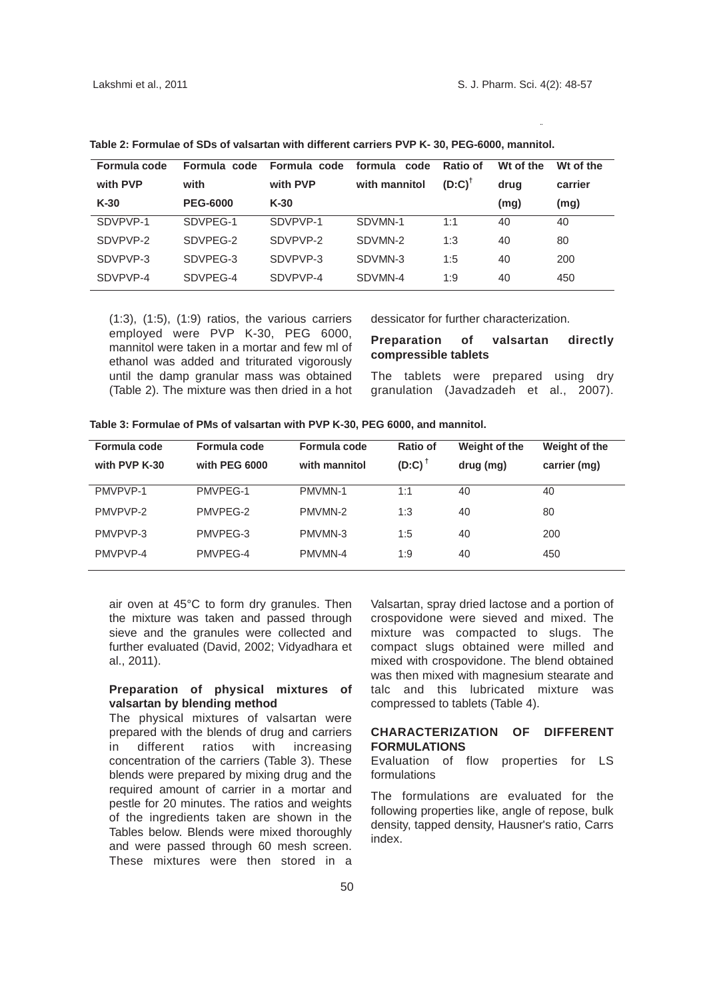| Formula code | Formula code    | Formula code | formula code  | Ratio of  | Wt of the | Wt of the |
|--------------|-----------------|--------------|---------------|-----------|-----------|-----------|
| with PVP     | with            | with PVP     | with mannitol | $(D:C)^T$ | drug      | carrier   |
| $K-30$       | <b>PEG-6000</b> | $K-30$       |               |           | (mg)      | (mg)      |
| SDVPVP-1     | SDVPEG-1        | SDVPVP-1     | SDVMN-1       | 1:1       | 40        | 40        |
| SDVPVP-2     | SDVPFG-2        | SDVPVP-2     | SDVMN-2       | 1:3       | 40        | 80        |
| SDVPVP-3     | SDVPEG-3        | SDVPVP-3     | SDVMN-3       | 1:5       | 40        | 200       |
| SDVPVP-4     | SDVPEG-4        | SDVPVP-4     | SDVMN-4       | 1:9       | 40        | 450       |

**Table 2: Formulae of SDs of valsartan with different carriers PVP K- 30, PEG-6000, mannitol.**

(1:3), (1:5), (1:9) ratios, the various carriers employed were PVP K-30, PEG 6000, mannitol were taken in a mortar and few ml of ethanol was added and triturated vigorously until the damp granular mass was obtained (Table 2). The mixture was then dried in a hot dessicator for further characterization.

## **Preparation of valsartan directly compressible tablets**

The tablets were prepared using dry granulation (Javadzadeh et al., 2007).

| Formula code<br>with PVP K-30 | Formula code<br>with PEG 6000 | Formula code<br>with mannitol | Ratio of<br>$(D:C)^{\dagger}$ | Weight of the<br>drug (mg) | Weight of the<br>carrier (mg) |
|-------------------------------|-------------------------------|-------------------------------|-------------------------------|----------------------------|-------------------------------|
| PMVPVP-1                      | PMVPEG-1                      | PMVMN-1                       | 1:1                           | 40                         | 40                            |
| PMVPVP-2                      | PMVPEG-2                      | PMVMN-2                       | 1:3                           | 40                         | 80                            |
| PMVPVP-3                      | PMVPEG-3                      | PMVMN-3                       | 1:5                           | 40                         | 200                           |
| PMVPVP-4                      | PMVPEG-4                      | PMVMN-4                       | 1:9                           | 40                         | 450                           |

**Table 3: Formulae of PMs of valsartan with PVP K-30, PEG 6000, and mannitol.**

air oven at 45°C to form dry granules. Then the mixture was taken and passed through sieve and the granules were collected and further evaluated (David, 2002; Vidyadhara et al., 2011).

#### **Preparation of physical mixtures of valsartan by blending method**

The physical mixtures of valsartan were prepared with the blends of drug and carriers in different ratios with increasing concentration of the carriers (Table 3). These blends were prepared by mixing drug and the required amount of carrier in a mortar and pestle for 20 minutes. The ratios and weights of the ingredients taken are shown in the Tables below. Blends were mixed thoroughly and were passed through 60 mesh screen. These mixtures were then stored in a

Valsartan, spray dried lactose and a portion of crospovidone were sieved and mixed. The mixture was compacted to slugs. The compact slugs obtained were milled and mixed with crospovidone. The blend obtained was then mixed with magnesium stearate and talc and this lubricated mixture was compressed to tablets (Table 4).

#### **CHARACTERIZATION OF DIFFERENT FORMULATIONS**

Evaluation of flow properties for LS formulations

The formulations are evaluated for the following properties like, angle of repose, bulk density, tapped density, Hausner's ratio, Carrs index.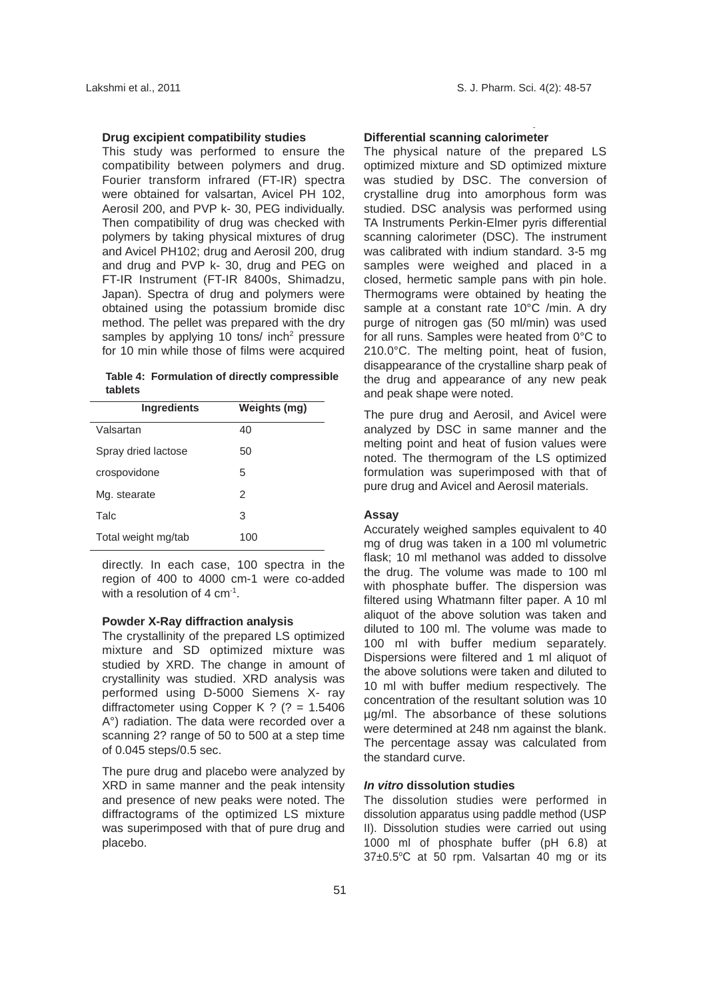#### **Drug excipient compatibility studies**

This study was performed to ensure the compatibility between polymers and drug. Fourier transform infrared (FT-IR) spectra were obtained for valsartan, Avicel PH 102, Aerosil 200, and PVP k- 30, PEG individually. Then compatibility of drug was checked with polymers by taking physical mixtures of drug and Avicel PH102; drug and Aerosil 200, drug and drug and PVP k- 30, drug and PEG on FT-IR Instrument (FT-IR 8400s, Shimadzu, Japan). Spectra of drug and polymers were obtained using the potassium bromide disc method. The pellet was prepared with the dry samples by applying 10 tons/ inch<sup>2</sup> pressure for 10 min while those of films were acquired

**Table 4: Formulation of directly compressible tablets**

| <b>Ingredients</b>  | Weights (mg) |
|---------------------|--------------|
| Valsartan           | 40           |
| Spray dried lactose | 50           |
| crospovidone        | 5            |
| Mg. stearate        | 2            |
| Talc                | 3            |
| Total weight mg/tab | 100          |

directly. In each case, 100 spectra in the region of 400 to 4000 cm-1 were co-added with a resolution of  $4 \text{ cm}^{-1}$ .

#### **Powder X-Ray diffraction analysis**

The crystallinity of the prepared LS optimized mixture and SD optimized mixture was studied by XRD. The change in amount of crystallinity was studied. XRD analysis was performed using D-5000 Siemens X- ray diffractometer using Copper K ? (? = 1.5406 A°) radiation. The data were recorded over a scanning 2? range of 50 to 500 at a step time of 0.045 steps/0.5 sec.

The pure drug and placebo were analyzed by XRD in same manner and the peak intensity and presence of new peaks were noted. The diffractograms of the optimized LS mixture was superimposed with that of pure drug and placebo.

## **Differential scanning calorimeter**

The physical nature of the prepared LS optimized mixture and SD optimized mixture was studied by DSC. The conversion of crystalline drug into amorphous form was studied. DSC analysis was performed using TA Instruments Perkin-Elmer pyris differential scanning calorimeter (DSC). The instrument was calibrated with indium standard. 3-5 mg samples were weighed and placed in a closed, hermetic sample pans with pin hole. Thermograms were obtained by heating the sample at a constant rate 10°C /min. A dry purge of nitrogen gas (50 ml/min) was used for all runs. Samples were heated from 0°C to 210.0°C. The melting point, heat of fusion, disappearance of the crystalline sharp peak of the drug and appearance of any new peak and peak shape were noted.

The pure drug and Aerosil, and Avicel were analyzed by DSC in same manner and the melting point and heat of fusion values were noted. The thermogram of the LS optimized formulation was superimposed with that of pure drug and Avicel and Aerosil materials.

#### **Assay**

Accurately weighed samples equivalent to 40 mg of drug was taken in a 100 ml volumetric flask; 10 ml methanol was added to dissolve the drug. The volume was made to 100 ml with phosphate buffer. The dispersion was filtered using Whatmann filter paper. A 10 ml aliquot of the above solution was taken and diluted to 100 ml. The volume was made to 100 ml with buffer medium separately. Dispersions were filtered and 1 ml aliquot of the above solutions were taken and diluted to 10 ml with buffer medium respectively. The concentration of the resultant solution was 10 µg/ml. The absorbance of these solutions were determined at 248 nm against the blank. The percentage assay was calculated from the standard curve.

## *In vitro* **dissolution studies**

The dissolution studies were performed in dissolution apparatus using paddle method (USP II). Dissolution studies were carried out using 1000 ml of phosphate buffer (pH 6.8) at 37±0.5°C at 50 rpm. Valsartan 40 mg or its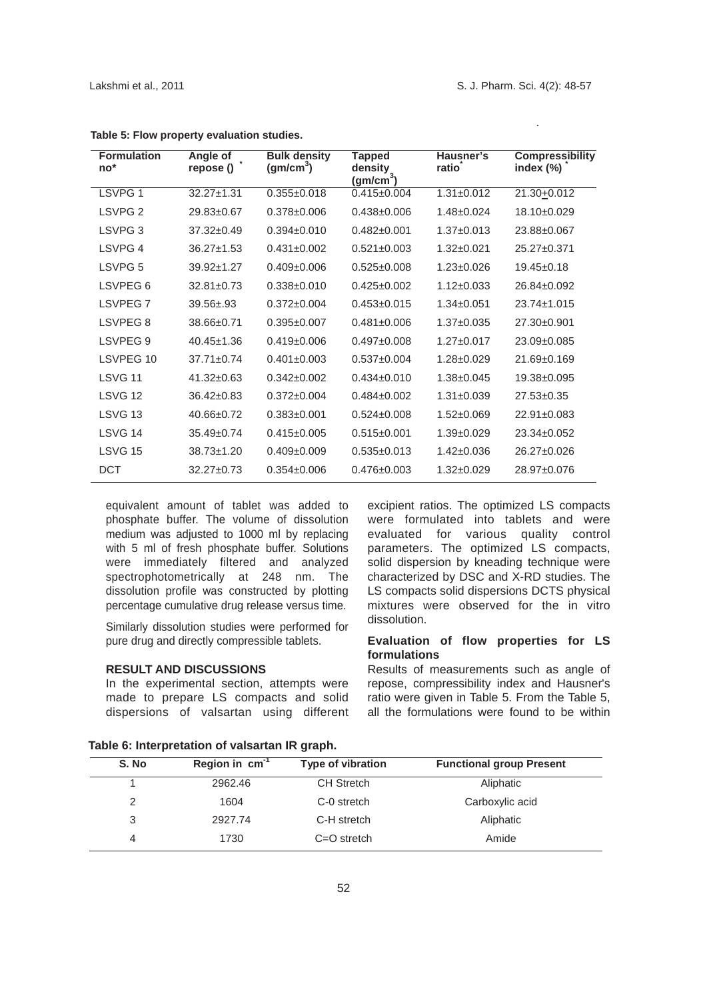$\bar{\omega}$ 

| <b>Formulation</b><br>$no*$ | Angle of<br>repose () | <b>Bulk density</b><br>(gm/cm <sup>3</sup> ) | Tapped<br>density<br>(gm/cm $^3$ ) | Hausner's<br>ratio | <b>Compressibility</b><br>index $(\%)$ |
|-----------------------------|-----------------------|----------------------------------------------|------------------------------------|--------------------|----------------------------------------|
| LSVPG <sub>1</sub>          | $32.27 \pm 1.31$      | $0.355 \pm 0.018$                            | $0.415 \pm 0.004$                  | $1.31 \pm 0.012$   | 21.30+0.012                            |
| LSVPG <sub>2</sub>          | 29.83±0.67            | $0.378 \pm 0.006$                            | $0.438 \pm 0.006$                  | $1.48 \pm 0.024$   | 18.10±0.029                            |
| LSVPG <sub>3</sub>          | $37.32 \pm 0.49$      | $0.394 \pm 0.010$                            | $0.482 \pm 0.001$                  | $1.37 \pm 0.013$   | 23.88±0.067                            |
| LSVPG 4                     | $36.27 \pm 1.53$      | $0.431 \pm 0.002$                            | $0.521 \pm 0.003$                  | $1.32 \pm 0.021$   | $25.27 \pm 0.371$                      |
| LSVPG <sub>5</sub>          | 39.92±1.27            | $0.409 \pm 0.006$                            | $0.525 \pm 0.008$                  | $1.23 \pm 0.026$   | $19.45 \pm 0.18$                       |
| LSVPEG <sub>6</sub>         | $32.81 \pm 0.73$      | $0.338 \pm 0.010$                            | $0.425 \pm 0.002$                  | $1.12 \pm 0.033$   | $26.84 \pm 0.092$                      |
| <b>LSVPEG7</b>              | $39.56 \pm .93$       | $0.372 \pm 0.004$                            | $0.453 \pm 0.015$                  | $1.34 \pm 0.051$   | $23.74 \pm 1.015$                      |
| LSVPEG <sub>8</sub>         | $38.66 \pm 0.71$      | $0.395 \pm 0.007$                            | $0.481 \pm 0.006$                  | $1.37 \pm 0.035$   | $27.30\pm0.901$                        |
| LSVPEG 9                    | $40.45 \pm 1.36$      | $0.419 \pm 0.006$                            | $0.497 \pm 0.008$                  | $1.27 \pm 0.017$   | $23.09 \pm 0.085$                      |
| LSVPEG 10                   | $37.71 \pm 0.74$      | $0.401 \pm 0.003$                            | $0.537 \pm 0.004$                  | $1.28 \pm 0.029$   | $21.69 \pm 0.169$                      |
| LSVG <sub>11</sub>          | $41.32 \pm 0.63$      | $0.342 \pm 0.002$                            | $0.434 \pm 0.010$                  | $1.38 + 0.045$     | 19.38±0.095                            |
| LSVG <sub>12</sub>          | $36.42 \pm 0.83$      | $0.372 \pm 0.004$                            | $0.484\pm0.002$                    | $1.31 \pm 0.039$   | $27.53 \pm 0.35$                       |
| LSVG <sub>13</sub>          | $40.66 \pm 0.72$      | $0.383 \pm 0.001$                            | $0.524 \pm 0.008$                  | $1.52 + 0.069$     | $22.91 \pm 0.083$                      |
| LSVG 14                     | $35.49 \pm 0.74$      | $0.415 \pm 0.005$                            | $0.515 \pm 0.001$                  | $1.39 + 0.029$     | $23.34\pm0.052$                        |
| <b>LSVG 15</b>              | $38.73 \pm 1.20$      | $0.409 \pm 0.009$                            | $0.535 \pm 0.013$                  | $1.42 \pm 0.036$   | $26.27 \pm 0.026$                      |
| DCT                         | $32.27 \pm 0.73$      | $0.354\pm0.006$                              | $0.476 \pm 0.003$                  | $1.32 \pm 0.029$   | 28.97±0.076                            |

| Table 5: Flow property evaluation studies. |  |  |  |
|--------------------------------------------|--|--|--|
|--------------------------------------------|--|--|--|

equivalent amount of tablet was added to phosphate buffer. The volume of dissolution medium was adjusted to 1000 ml by replacing with 5 ml of fresh phosphate buffer. Solutions were immediately filtered and analyzed spectrophotometrically at 248 nm. The dissolution profile was constructed by plotting percentage cumulative drug release versus time.

Similarly dissolution studies were performed for pure drug and directly compressible tablets.

#### **RESULT AND DISCUSSIONS**

In the experimental section, attempts were made to prepare LS compacts and solid dispersions of valsartan using different excipient ratios. The optimized LS compacts were formulated into tablets and were evaluated for various quality control parameters. The optimized LS compacts, solid dispersion by kneading technique were characterized by DSC and X-RD studies. The LS compacts solid dispersions DCTS physical mixtures were observed for the in vitro dissolution.

#### **Evaluation of flow properties for LS formulations**

Results of measurements such as angle of repose, compressibility index and Hausner's ratio were given in Table 5. From the Table 5, all the formulations were found to be within

| S. No | Region in $cm^{-1}$ | Type of vibration | <b>Functional group Present</b> |
|-------|---------------------|-------------------|---------------------------------|
|       | 2962.46             | <b>CH Stretch</b> | Aliphatic                       |
| 2     | 1604                | C-0 stretch       | Carboxylic acid                 |
| 3     | 2927.74             | C-H stretch       | Aliphatic                       |
| 4     | 1730                | $C = O$ stretch   | Amide                           |

**Table 6: Interpretation of valsartan IR graph.**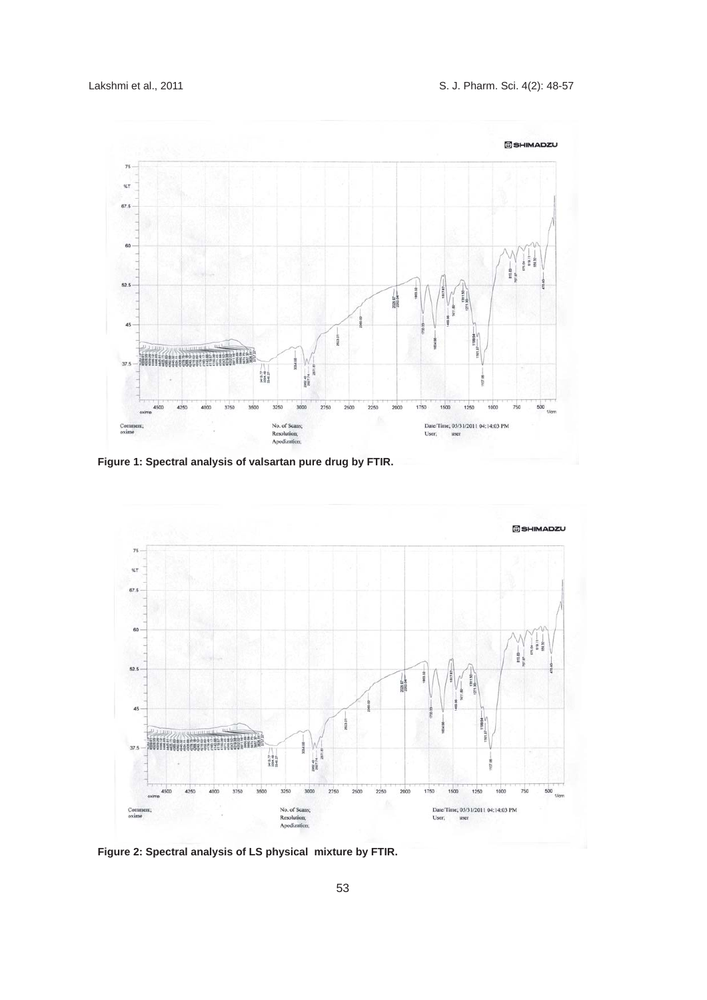

**Figure 1: Spectral analysis of valsartan pure drug by FTIR.**



**Figure 2: Spectral analysis of LS physical mixture by FTIR.**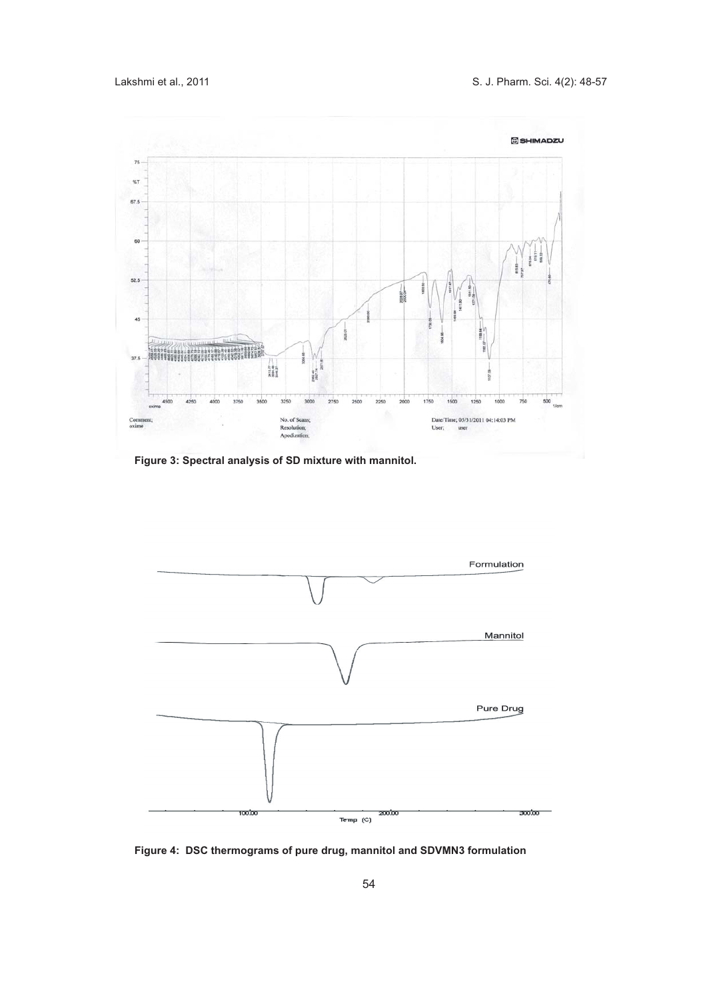

**Figure 3: Spectral analysis of SD mixture with mannitol.** 



**Figure 4: DSC thermograms of pure drug, mannitol and SDVMN3 formulation**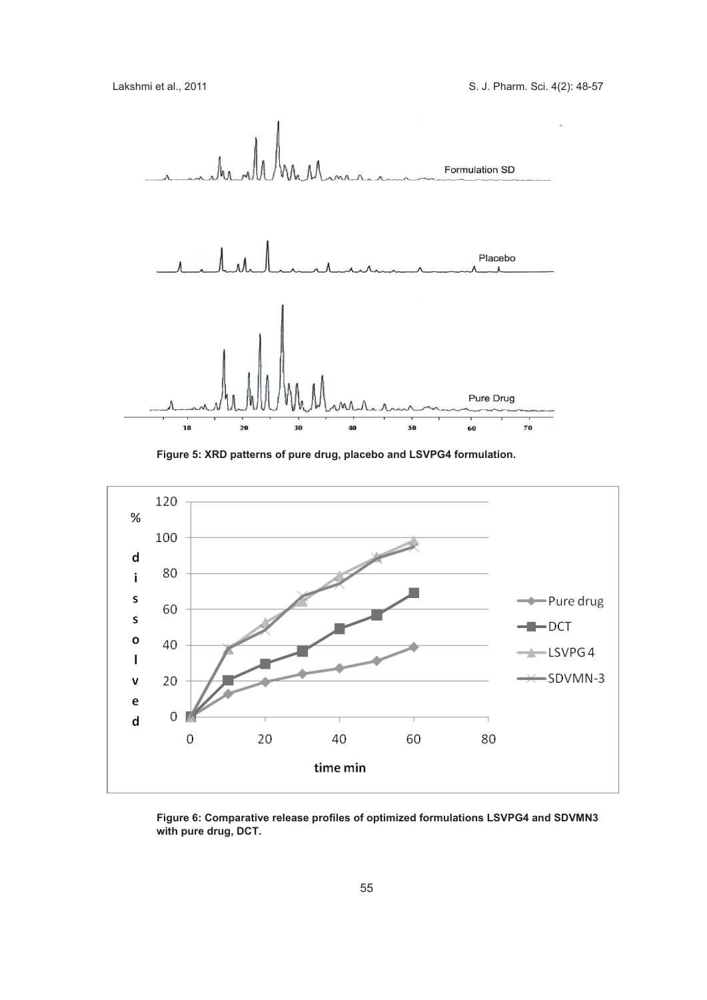

**Figure 5: XRD patterns of pure drug, placebo and LSVPG4 formulation.**



**Figure 6: Comparative release profiles of optimized formulations LSVPG4 and SDVMN3 with pure drug, DCT.**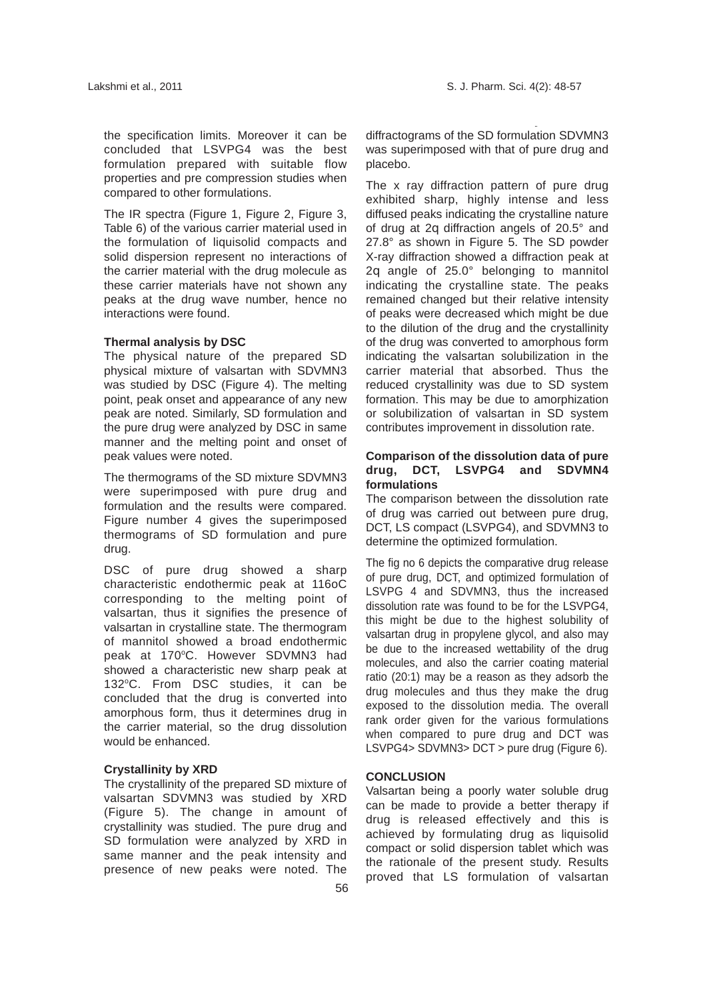the specification limits. Moreover it can be concluded that LSVPG4 was the best formulation prepared with suitable flow properties and pre compression studies when compared to other formulations.

The IR spectra (Figure 1, Figure 2, Figure 3, Table 6) of the various carrier material used in the formulation of liquisolid compacts and solid dispersion represent no interactions of the carrier material with the drug molecule as these carrier materials have not shown any peaks at the drug wave number, hence no interactions were found.

#### **Thermal analysis by DSC**

The physical nature of the prepared SD physical mixture of valsartan with SDVMN3 was studied by DSC (Figure 4). The melting point, peak onset and appearance of any new peak are noted. Similarly, SD formulation and the pure drug were analyzed by DSC in same manner and the melting point and onset of peak values were noted.

The thermograms of the SD mixture SDVMN3 were superimposed with pure drug and formulation and the results were compared. Figure number 4 gives the superimposed thermograms of SD formulation and pure drug.

DSC of pure drug showed a sharp characteristic endothermic peak at 116oC corresponding to the melting point of valsartan, thus it signifies the presence of valsartan in crystalline state. The thermogram of mannitol showed a broad endothermic peak at 170°C. However SDVMN3 had showed a characteristic new sharp peak at 132°C. From DSC studies, it can be concluded that the drug is converted into amorphous form, thus it determines drug in the carrier material, so the drug dissolution would be enhanced.

## **Crystallinity by XRD**

The crystallinity of the prepared SD mixture of valsartan SDVMN3 was studied by XRD (Figure 5). The change in amount of crystallinity was studied. The pure drug and SD formulation were analyzed by XRD in same manner and the peak intensity and presence of new peaks were noted. The diffractograms of the SD formulation SDVMN3 was superimposed with that of pure drug and placebo.

The x ray diffraction pattern of pure drug exhibited sharp, highly intense and less diffused peaks indicating the crystalline nature of drug at 2 diffraction angels of 20.5° and 27.8° as shown in Figure 5. The SD powder X-ray diffraction showed a diffraction peak at 2 angle of 25.0° belonging to mannitol indicating the crystalline state. The peaks remained changed but their relative intensity of peaks were decreased which might be due to the dilution of the drug and the crystallinity of the drug was converted to amorphous form indicating the valsartan solubilization in the carrier material that absorbed. Thus the reduced crystallinity was due to SD system formation. This may be due to amorphization or solubilization of valsartan in SD system contributes improvement in dissolution rate.

## **Comparison of the dissolution data of pure drug, DCT, LSVPG4 and SDVMN4 formulations**

The comparison between the dissolution rate of drug was carried out between pure drug, DCT, LS compact (LSVPG4), and SDVMN3 to determine the optimized formulation.

The fig no 6 depicts the comparative drug release of pure drug, DCT, and optimized formulation of LSVPG 4 and SDVMN3, thus the increased dissolution rate was found to be for the LSVPG4, this might be due to the highest solubility of valsartan drug in propylene glycol, and also may be due to the increased wettability of the drug molecules, and also the carrier coating material ratio (20:1) may be a reason as they adsorb the drug molecules and thus they make the drug exposed to the dissolution media. The overall rank order given for the various formulations when compared to pure drug and DCT was LSVPG4> SDVMN3> DCT > pure drug (Figure 6).

## **CONCLUSION**

Valsartan being a poorly water soluble drug can be made to provide a better therapy if drug is released effectively and this is achieved by formulating drug as liquisolid compact or solid dispersion tablet which was the rationale of the present study. Results proved that LS formulation of valsartan